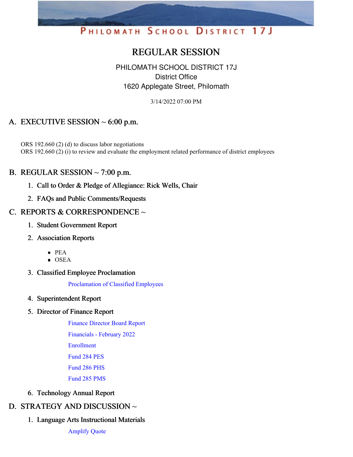# PHILOMATH SCHOOL DISTRICT 17J

# REGULAR SESSION

# PHILOMATH SCHOOL DISTRICT 17J District Office 1620 Applegate Street, Philomath

3/14/2022 07:00 PM

# A. EXECUTIVE SESSION  $\sim 6:00$  p.m.

ORS 192.660 (2) (d) to discuss labor negotiations ORS 192.660 (2) (i) to review and evaluate the employment related performance of district employees

# B. REGULAR SESSION  $\sim$  7:00 p.m.

- 1. Call to Order & Pledge of Allegiance: Rick Wells, Chair
- 2. FAQs and Public Comments/Requests

# C. REPORTS & CORRESPONDENCE ~

- 1. Student Government Report
- 2. Association Reports
	- PEA
	- $\overline{\text{OSEA}}$
- 3. Classified Employee Proclamation

[Proclamation](https://app.eduportal.com/documents/view/824956) of Classified Employees

4. Superintendent Report

### 5. Director of Finance Report

Finance [Director](https://app.eduportal.com/documents/view/826216) Board Report [Financials](https://app.eduportal.com/documents/view/826223) - February 2022 [Enrollment](https://app.eduportal.com/documents/view/824955) [Fund](https://app.eduportal.com/documents/view/826212) 284 PES [Fund](https://app.eduportal.com/documents/view/826213) 286 PHS

[Fund](https://app.eduportal.com/documents/view/826211) 285 PMS

6. Technology Annual Report

# D. STRATEGY AND DISCUSSION ~

1. Language Arts Instructional Materials

[Amplify](https://app.eduportal.com/documents/view/825008) Quote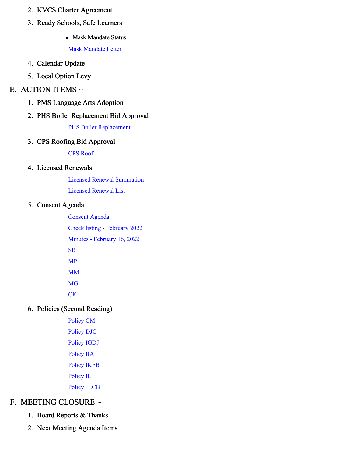- 2. KVCS Charter Agreement
- 3. Ready Schools, Safe Learners
	- **Mask Mandate Status**

Mask [Mandate](https://app.eduportal.com/documents/view/825009) Letter

- 4. Calendar Update
- 5. Local Option Levy

#### E. ACTION ITEMS  $\sim$

- 1. PMS Language Arts Adoption
- 2. PHS Boiler Replacement Bid Approval

#### PHS Boiler [Replacement](https://app.eduportal.com/documents/view/826222)

#### 3. CPS Roofing Bid Approval

CPS [Roof](https://app.eduportal.com/documents/view/826221)

#### 4. Licensed Renewals

Licensed Renewal [Summation](https://app.eduportal.com/documents/view/825049)

[Licensed](https://app.eduportal.com/documents/view/825048) Renewal List

#### 5. Consent Agenda

[Consent](https://app.eduportal.com/documents/view/826217) Agenda Check listing - [February](https://app.eduportal.com/documents/view/826214) 2022 Minutes - [February](https://app.eduportal.com/documents/view/824954) 16, 2022 [SB](https://app.eduportal.com/documents/view/826246) [MP](https://app.eduportal.com/documents/view/826245) [MM](https://app.eduportal.com/documents/view/826244) [MG](https://app.eduportal.com/documents/view/826243) **[CK](https://app.eduportal.com/documents/view/826242)** 

### 6. Policies (Second Reading)

[Policy](https://app.eduportal.com/documents/view/824957) CM [Policy](https://app.eduportal.com/documents/view/824959) DJC [Policy](https://app.eduportal.com/documents/view/824962) IGDJ [Policy](https://app.eduportal.com/documents/view/824963) IIA [Policy](https://app.eduportal.com/documents/view/824965) IKFB [Policy](https://app.eduportal.com/documents/view/824966) IL [Policy](https://app.eduportal.com/documents/view/824967) JECB

# F. MEETING CLOSURE ~

- 1. Board Reports & Thanks
- 2. Next Meeting Agenda Items